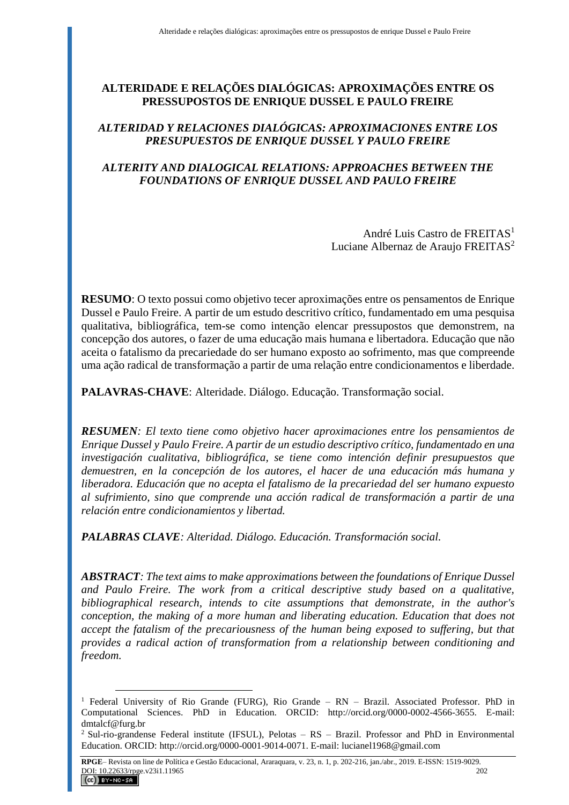# **ALTERIDADE E RELAÇÕES DIALÓGICAS: APROXIMAÇÕES ENTRE OS PRESSUPOSTOS DE ENRIQUE DUSSEL E PAULO FREIRE**

## *ALTERIDAD Y RELACIONES DIALÓGICAS: APROXIMACIONES ENTRE LOS PRESUPUESTOS DE ENRIQUE DUSSEL Y PAULO FREIRE*

## *ALTERITY AND DIALOGICAL RELATIONS: APPROACHES BETWEEN THE FOUNDATIONS OF ENRIQUE DUSSEL AND PAULO FREIRE*

André Luis Castro de FREITAS<sup>1</sup> Luciane Albernaz de Araujo FREITAS<sup>2</sup>

**RESUMO**: O texto possui como objetivo tecer aproximações entre os pensamentos de Enrique Dussel e Paulo Freire. A partir de um estudo descritivo crítico, fundamentado em uma pesquisa qualitativa, bibliográfica, tem-se como intenção elencar pressupostos que demonstrem, na concepção dos autores, o fazer de uma educação mais humana e libertadora. Educação que não aceita o fatalismo da precariedade do ser humano exposto ao sofrimento, mas que compreende uma ação radical de transformação a partir de uma relação entre condicionamentos e liberdade.

**PALAVRAS-CHAVE**: Alteridade. Diálogo. Educação. Transformação social.

*RESUMEN: El texto tiene como objetivo hacer aproximaciones entre los pensamientos de Enrique Dussel y Paulo Freire. A partir de un estudio descriptivo crítico, fundamentado en una investigación cualitativa, bibliográfica, se tiene como intención definir presupuestos que demuestren, en la concepción de los autores, el hacer de una educación más humana y liberadora. Educación que no acepta el fatalismo de la precariedad del ser humano expuesto al sufrimiento, sino que comprende una acción radical de transformación a partir de una relación entre condicionamientos y libertad.*

*PALABRAS CLAVE: Alteridad. Diálogo. Educación. Transformación social.*

 $\overline{a}$ 

*ABSTRACT: The text aims to make approximations between the foundations of Enrique Dussel and Paulo Freire. The work from a critical descriptive study based on a qualitative, bibliographical research, intends to cite assumptions that demonstrate, in the author's conception, the making of a more human and liberating education. Education that does not accept the fatalism of the precariousness of the human being exposed to suffering, but that provides a radical action of transformation from a relationship between conditioning and freedom.*

<sup>1</sup> Federal University of Rio Grande (FURG), Rio Grande – RN – Brazil. Associated Professor. PhD in Computational Sciences. PhD in Education. ORCID: http://orcid.org/0000-0002-4566-3655. E-mail: dmtalcf@furg.br

<sup>&</sup>lt;sup>2</sup> Sul-rio-grandense Federal institute (IFSUL), Pelotas – RS – Brazil. Professor and PhD in Environmental Education. ORCID: http://orcid.org/0000-0001-9014-0071. E-mail: lucianel1968@gmail.com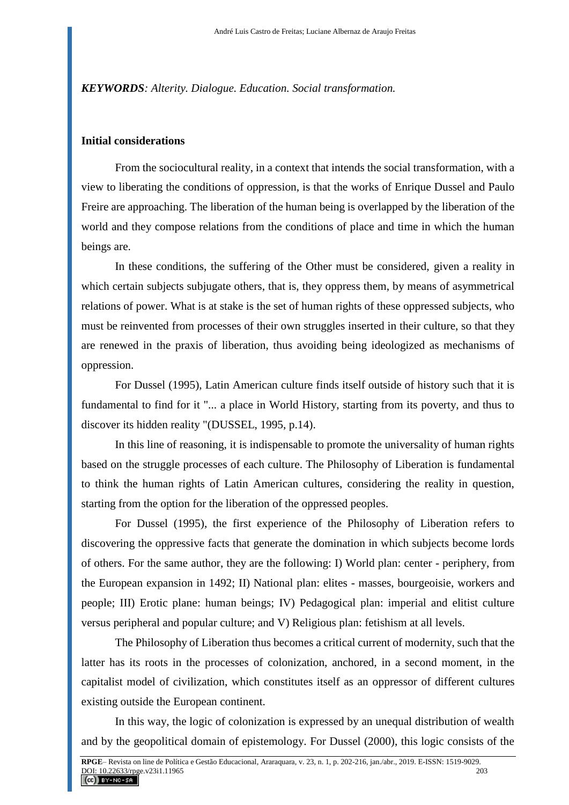*KEYWORDS: Alterity. Dialogue. Education. Social transformation.*

### **Initial considerations**

From the sociocultural reality, in a context that intends the social transformation, with a view to liberating the conditions of oppression, is that the works of Enrique Dussel and Paulo Freire are approaching. The liberation of the human being is overlapped by the liberation of the world and they compose relations from the conditions of place and time in which the human beings are.

In these conditions, the suffering of the Other must be considered, given a reality in which certain subjects subjugate others, that is, they oppress them, by means of asymmetrical relations of power. What is at stake is the set of human rights of these oppressed subjects, who must be reinvented from processes of their own struggles inserted in their culture, so that they are renewed in the praxis of liberation, thus avoiding being ideologized as mechanisms of oppression.

For Dussel (1995), Latin American culture finds itself outside of history such that it is fundamental to find for it "... a place in World History, starting from its poverty, and thus to discover its hidden reality "(DUSSEL, 1995, p.14).

In this line of reasoning, it is indispensable to promote the universality of human rights based on the struggle processes of each culture. The Philosophy of Liberation is fundamental to think the human rights of Latin American cultures, considering the reality in question, starting from the option for the liberation of the oppressed peoples.

For Dussel (1995), the first experience of the Philosophy of Liberation refers to discovering the oppressive facts that generate the domination in which subjects become lords of others. For the same author, they are the following: I) World plan: center - periphery, from the European expansion in 1492; II) National plan: elites - masses, bourgeoisie, workers and people; III) Erotic plane: human beings; IV) Pedagogical plan: imperial and elitist culture versus peripheral and popular culture; and V) Religious plan: fetishism at all levels.

The Philosophy of Liberation thus becomes a critical current of modernity, such that the latter has its roots in the processes of colonization, anchored, in a second moment, in the capitalist model of civilization, which constitutes itself as an oppressor of different cultures existing outside the European continent.

In this way, the logic of colonization is expressed by an unequal distribution of wealth and by the geopolitical domain of epistemology. For Dussel (2000), this logic consists of the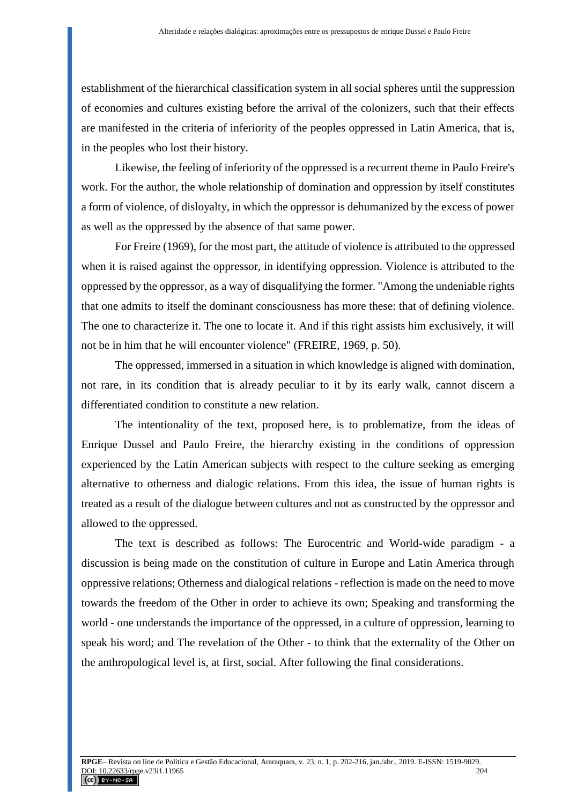establishment of the hierarchical classification system in all social spheres until the suppression of economies and cultures existing before the arrival of the colonizers, such that their effects are manifested in the criteria of inferiority of the peoples oppressed in Latin America, that is, in the peoples who lost their history.

Likewise, the feeling of inferiority of the oppressed is a recurrent theme in Paulo Freire's work. For the author, the whole relationship of domination and oppression by itself constitutes a form of violence, of disloyalty, in which the oppressor is dehumanized by the excess of power as well as the oppressed by the absence of that same power.

For Freire (1969), for the most part, the attitude of violence is attributed to the oppressed when it is raised against the oppressor, in identifying oppression. Violence is attributed to the oppressed by the oppressor, as a way of disqualifying the former. "Among the undeniable rights that one admits to itself the dominant consciousness has more these: that of defining violence. The one to characterize it. The one to locate it. And if this right assists him exclusively, it will not be in him that he will encounter violence" (FREIRE, 1969, p. 50).

The oppressed, immersed in a situation in which knowledge is aligned with domination, not rare, in its condition that is already peculiar to it by its early walk, cannot discern a differentiated condition to constitute a new relation.

The intentionality of the text, proposed here, is to problematize, from the ideas of Enrique Dussel and Paulo Freire, the hierarchy existing in the conditions of oppression experienced by the Latin American subjects with respect to the culture seeking as emerging alternative to otherness and dialogic relations. From this idea, the issue of human rights is treated as a result of the dialogue between cultures and not as constructed by the oppressor and allowed to the oppressed.

The text is described as follows: The Eurocentric and World-wide paradigm - a discussion is being made on the constitution of culture in Europe and Latin America through oppressive relations; Otherness and dialogical relations - reflection is made on the need to move towards the freedom of the Other in order to achieve its own; Speaking and transforming the world - one understands the importance of the oppressed, in a culture of oppression, learning to speak his word; and The revelation of the Other - to think that the externality of the Other on the anthropological level is, at first, social. After following the final considerations.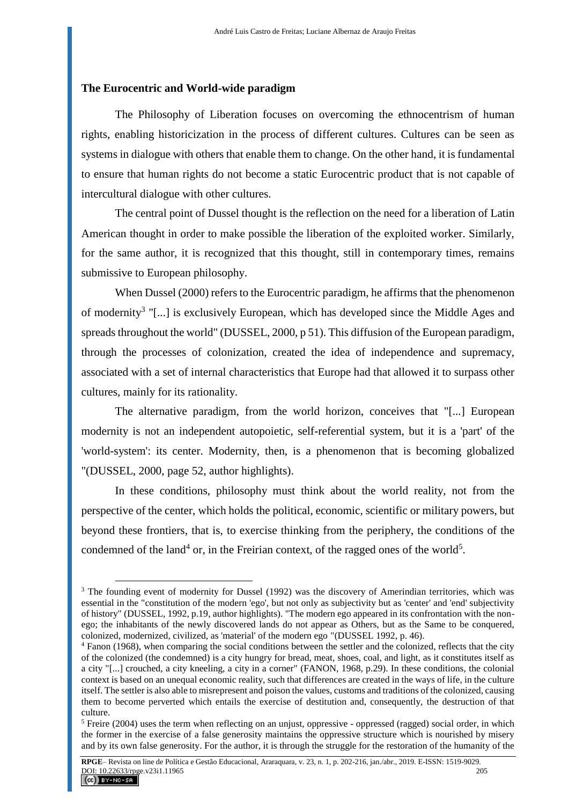#### **The Eurocentric and World-wide paradigm**

 $\overline{a}$ 

The Philosophy of Liberation focuses on overcoming the ethnocentrism of human rights, enabling historicization in the process of different cultures. Cultures can be seen as systems in dialogue with others that enable them to change. On the other hand, it is fundamental to ensure that human rights do not become a static Eurocentric product that is not capable of intercultural dialogue with other cultures.

The central point of Dussel thought is the reflection on the need for a liberation of Latin American thought in order to make possible the liberation of the exploited worker. Similarly, for the same author, it is recognized that this thought, still in contemporary times, remains submissive to European philosophy.

When Dussel (2000) refers to the Eurocentric paradigm, he affirms that the phenomenon of modernity<sup>3</sup> "[...] is exclusively European, which has developed since the Middle Ages and spreads throughout the world" (DUSSEL, 2000, p 51). This diffusion of the European paradigm, through the processes of colonization, created the idea of independence and supremacy, associated with a set of internal characteristics that Europe had that allowed it to surpass other cultures, mainly for its rationality.

The alternative paradigm, from the world horizon, conceives that "[...] European modernity is not an independent autopoietic, self-referential system, but it is a 'part' of the 'world-system': its center. Modernity, then, is a phenomenon that is becoming globalized "(DUSSEL, 2000, page 52, author highlights).

In these conditions, philosophy must think about the world reality, not from the perspective of the center, which holds the political, economic, scientific or military powers, but beyond these frontiers, that is, to exercise thinking from the periphery, the conditions of the condemned of the land<sup>4</sup> or, in the Freirian context, of the ragged ones of the world<sup>5</sup>.

<sup>&</sup>lt;sup>3</sup> The founding event of modernity for Dussel (1992) was the discovery of Amerindian territories, which was essential in the "constitution of the modern 'ego', but not only as subjectivity but as 'center' and 'end' subjectivity of history" (DUSSEL, 1992, p.19, author highlights). "The modern ego appeared in its confrontation with the nonego; the inhabitants of the newly discovered lands do not appear as Others, but as the Same to be conquered, colonized, modernized, civilized, as 'material' of the modern ego "(DUSSEL 1992, p. 46).

<sup>4</sup> Fanon (1968), when comparing the social conditions between the settler and the colonized, reflects that the city of the colonized (the condemned) is a city hungry for bread, meat, shoes, coal, and light, as it constitutes itself as a city "[...] crouched, a city kneeling, a city in a corner" (FANON, 1968, p.29). In these conditions, the colonial context is based on an unequal economic reality, such that differences are created in the ways of life, in the culture itself. The settler is also able to misrepresent and poison the values, customs and traditions of the colonized, causing them to become perverted which entails the exercise of destitution and, consequently, the destruction of that culture.

<sup>&</sup>lt;sup>5</sup> Freire (2004) uses the term when reflecting on an unjust, oppressive - oppressed (ragged) social order, in which the former in the exercise of a false generosity maintains the oppressive structure which is nourished by misery and by its own false generosity. For the author, it is through the struggle for the restoration of the humanity of the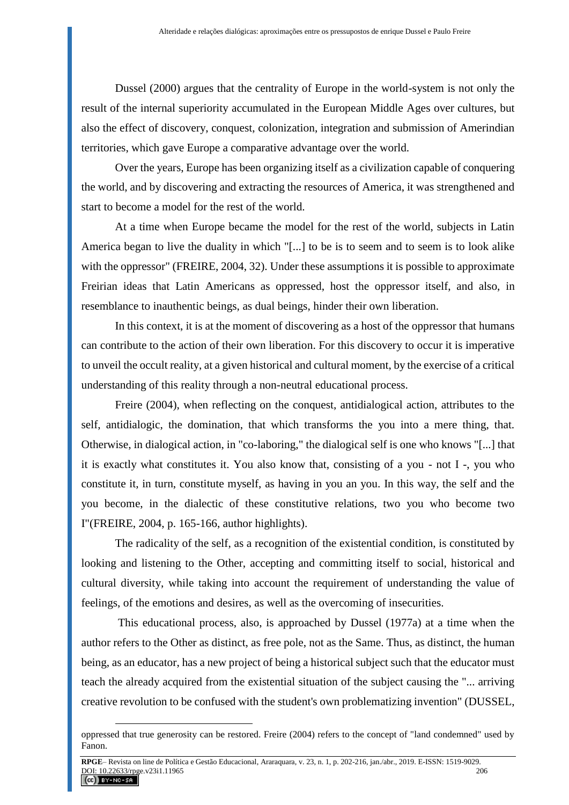Dussel (2000) argues that the centrality of Europe in the world-system is not only the result of the internal superiority accumulated in the European Middle Ages over cultures, but also the effect of discovery, conquest, colonization, integration and submission of Amerindian territories, which gave Europe a comparative advantage over the world.

Over the years, Europe has been organizing itself as a civilization capable of conquering the world, and by discovering and extracting the resources of America, it was strengthened and start to become a model for the rest of the world.

At a time when Europe became the model for the rest of the world, subjects in Latin America began to live the duality in which "[...] to be is to seem and to seem is to look alike with the oppressor" (FREIRE, 2004, 32). Under these assumptions it is possible to approximate Freirian ideas that Latin Americans as oppressed, host the oppressor itself, and also, in resemblance to inauthentic beings, as dual beings, hinder their own liberation.

In this context, it is at the moment of discovering as a host of the oppressor that humans can contribute to the action of their own liberation. For this discovery to occur it is imperative to unveil the occult reality, at a given historical and cultural moment, by the exercise of a critical understanding of this reality through a non-neutral educational process.

Freire (2004), when reflecting on the conquest, antidialogical action, attributes to the self, antidialogic, the domination, that which transforms the you into a mere thing, that. Otherwise, in dialogical action, in "co-laboring," the dialogical self is one who knows "[...] that it is exactly what constitutes it. You also know that, consisting of a you - not I -, you who constitute it, in turn, constitute myself, as having in you an you. In this way, the self and the you become, in the dialectic of these constitutive relations, two you who become two I"(FREIRE, 2004, p. 165-166, author highlights).

The radicality of the self, as a recognition of the existential condition, is constituted by looking and listening to the Other, accepting and committing itself to social, historical and cultural diversity, while taking into account the requirement of understanding the value of feelings, of the emotions and desires, as well as the overcoming of insecurities.

This educational process, also, is approached by Dussel (1977a) at a time when the author refers to the Other as distinct, as free pole, not as the Same. Thus, as distinct, the human being, as an educator, has a new project of being a historical subject such that the educator must teach the already acquired from the existential situation of the subject causing the "... arriving creative revolution to be confused with the student's own problematizing invention" (DUSSEL,

oppressed that true generosity can be restored. Freire (2004) refers to the concept of "land condemned" used by Fanon.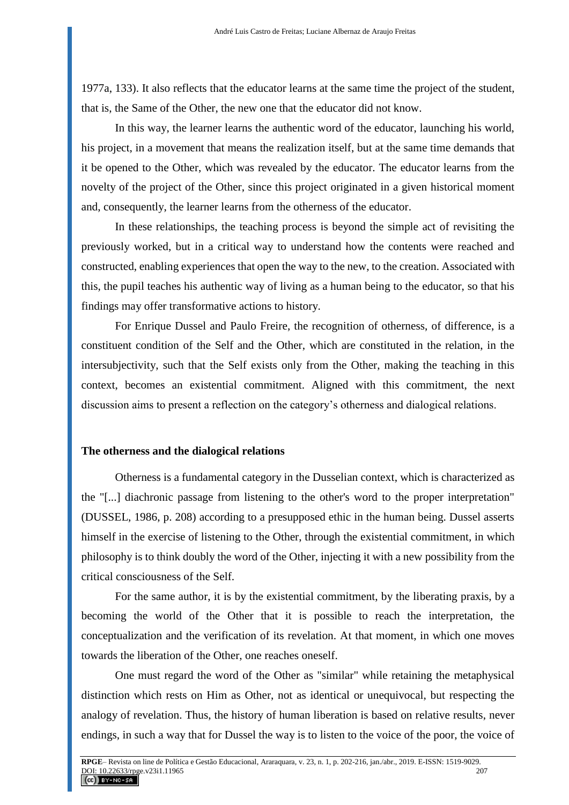1977a, 133). It also reflects that the educator learns at the same time the project of the student, that is, the Same of the Other, the new one that the educator did not know.

In this way, the learner learns the authentic word of the educator, launching his world, his project, in a movement that means the realization itself, but at the same time demands that it be opened to the Other, which was revealed by the educator. The educator learns from the novelty of the project of the Other, since this project originated in a given historical moment and, consequently, the learner learns from the otherness of the educator.

In these relationships, the teaching process is beyond the simple act of revisiting the previously worked, but in a critical way to understand how the contents were reached and constructed, enabling experiences that open the way to the new, to the creation. Associated with this, the pupil teaches his authentic way of living as a human being to the educator, so that his findings may offer transformative actions to history.

For Enrique Dussel and Paulo Freire, the recognition of otherness, of difference, is a constituent condition of the Self and the Other, which are constituted in the relation, in the intersubjectivity, such that the Self exists only from the Other, making the teaching in this context, becomes an existential commitment. Aligned with this commitment, the next discussion aims to present a reflection on the category's otherness and dialogical relations.

#### **The otherness and the dialogical relations**

Otherness is a fundamental category in the Dusselian context, which is characterized as the "[...] diachronic passage from listening to the other's word to the proper interpretation" (DUSSEL, 1986, p. 208) according to a presupposed ethic in the human being. Dussel asserts himself in the exercise of listening to the Other, through the existential commitment, in which philosophy is to think doubly the word of the Other, injecting it with a new possibility from the critical consciousness of the Self.

For the same author, it is by the existential commitment, by the liberating praxis, by a becoming the world of the Other that it is possible to reach the interpretation, the conceptualization and the verification of its revelation. At that moment, in which one moves towards the liberation of the Other, one reaches oneself.

One must regard the word of the Other as "similar" while retaining the metaphysical distinction which rests on Him as Other, not as identical or unequivocal, but respecting the analogy of revelation. Thus, the history of human liberation is based on relative results, never endings, in such a way that for Dussel the way is to listen to the voice of the poor, the voice of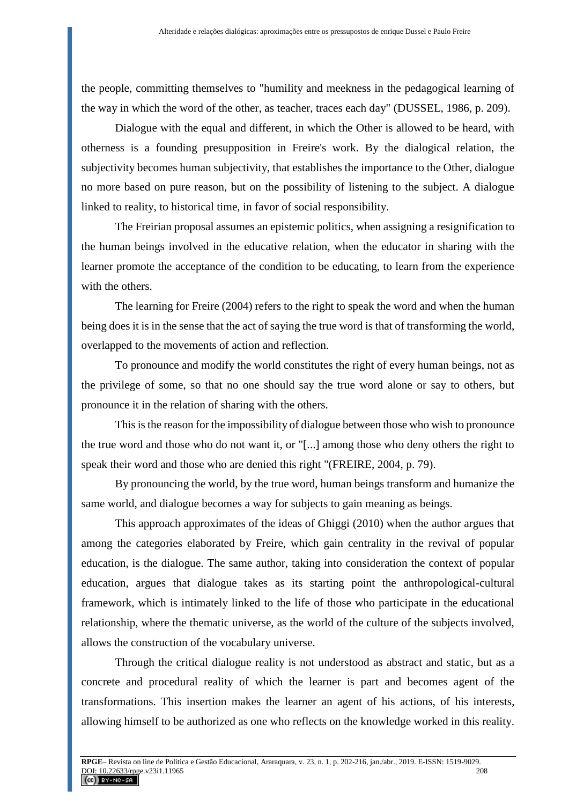the people, committing themselves to "humility and meekness in the pedagogical learning of the way in which the word of the other, as teacher, traces each day" (DUSSEL, 1986, p. 209).

Dialogue with the equal and different, in which the Other is allowed to be heard, with otherness is a founding presupposition in Freire's work. By the dialogical relation, the subjectivity becomes human subjectivity, that establishes the importance to the Other, dialogue no more based on pure reason, but on the possibility of listening to the subject. A dialogue linked to reality, to historical time, in favor of social responsibility.

The Freirian proposal assumes an epistemic politics, when assigning a resignification to the human beings involved in the educative relation, when the educator in sharing with the learner promote the acceptance of the condition to be educating, to learn from the experience with the others.

The learning for Freire (2004) refers to the right to speak the word and when the human being does it is in the sense that the act of saying the true word is that of transforming the world, overlapped to the movements of action and reflection.

To pronounce and modify the world constitutes the right of every human beings, not as the privilege of some, so that no one should say the true word alone or say to others, but pronounce it in the relation of sharing with the others.

This is the reason for the impossibility of dialogue between those who wish to pronounce the true word and those who do not want it, or "[...] among those who deny others the right to speak their word and those who are denied this right "(FREIRE, 2004, p. 79).

By pronouncing the world, by the true word, human beings transform and humanize the same world, and dialogue becomes a way for subjects to gain meaning as beings.

This approach approximates of the ideas of Ghiggi (2010) when the author argues that among the categories elaborated by Freire, which gain centrality in the revival of popular education, is the dialogue. The same author, taking into consideration the context of popular education, argues that dialogue takes as its starting point the anthropological-cultural framework, which is intimately linked to the life of those who participate in the educational relationship, where the thematic universe, as the world of the culture of the subjects involved, allows the construction of the vocabulary universe.

Through the critical dialogue reality is not understood as abstract and static, but as a concrete and procedural reality of which the learner is part and becomes agent of the transformations. This insertion makes the learner an agent of his actions, of his interests, allowing himself to be authorized as one who reflects on the knowledge worked in this reality.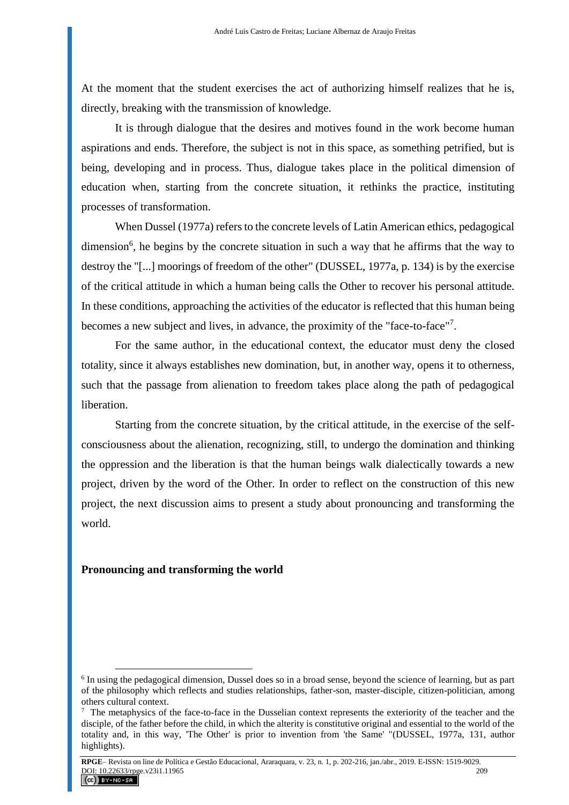At the moment that the student exercises the act of authorizing himself realizes that he is, directly, breaking with the transmission of knowledge.

It is through dialogue that the desires and motives found in the work become human aspirations and ends. Therefore, the subject is not in this space, as something petrified, but is being, developing and in process. Thus, dialogue takes place in the political dimension of education when, starting from the concrete situation, it rethinks the practice, instituting processes of transformation.

When Dussel (1977a) refers to the concrete levels of Latin American ethics, pedagogical dimension<sup>6</sup>, he begins by the concrete situation in such a way that he affirms that the way to destroy the "[...] moorings of freedom of the other" (DUSSEL, 1977a, p. 134) is by the exercise of the critical attitude in which a human being calls the Other to recover his personal attitude. In these conditions, approaching the activities of the educator is reflected that this human being becomes a new subject and lives, in advance, the proximity of the "face-to-face"<sup>7</sup>.

For the same author, in the educational context, the educator must deny the closed totality, since it always establishes new domination, but, in another way, opens it to otherness, such that the passage from alienation to freedom takes place along the path of pedagogical liberation.

Starting from the concrete situation, by the critical attitude, in the exercise of the selfconsciousness about the alienation, recognizing, still, to undergo the domination and thinking the oppression and the liberation is that the human beings walk dialectically towards a new project, driven by the word of the Other. In order to reflect on the construction of this new project, the next discussion aims to present a study about pronouncing and transforming the world.

### **Pronouncing and transforming the world**

<sup>&</sup>lt;sup>6</sup> In using the pedagogical dimension, Dussel does so in a broad sense, beyond the science of learning, but as part of the philosophy which reflects and studies relationships, father-son, master-disciple, citizen-politician, among others cultural context.

<sup>&</sup>lt;sup>7</sup> The metaphysics of the face-to-face in the Dusselian context represents the exteriority of the teacher and the disciple, of the father before the child, in which the alterity is constitutive original and essential to the world of the totality and, in this way, 'The Other' is prior to invention from 'the Same' "(DUSSEL, 1977a, 131, author highlights).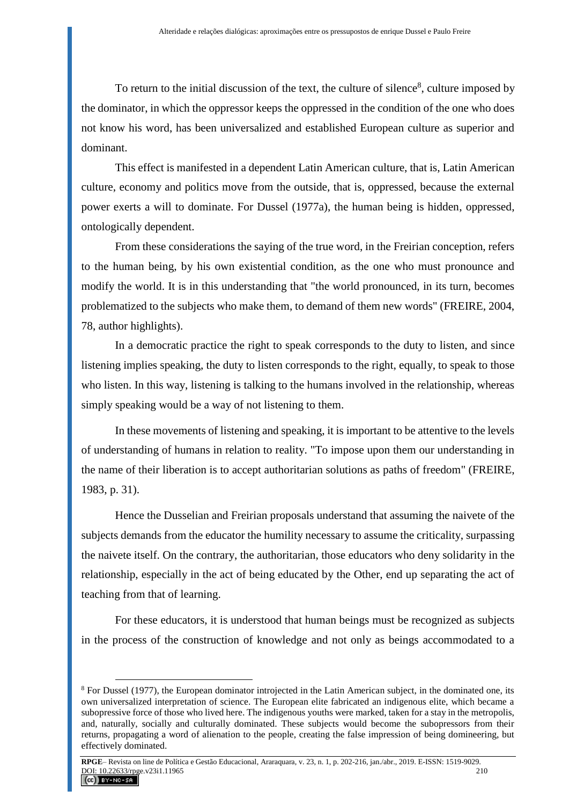To return to the initial discussion of the text, the culture of silence<sup>8</sup>, culture imposed by the dominator, in which the oppressor keeps the oppressed in the condition of the one who does not know his word, has been universalized and established European culture as superior and dominant.

This effect is manifested in a dependent Latin American culture, that is, Latin American culture, economy and politics move from the outside, that is, oppressed, because the external power exerts a will to dominate. For Dussel (1977a), the human being is hidden, oppressed, ontologically dependent.

From these considerations the saying of the true word, in the Freirian conception, refers to the human being, by his own existential condition, as the one who must pronounce and modify the world. It is in this understanding that "the world pronounced, in its turn, becomes problematized to the subjects who make them, to demand of them new words" (FREIRE, 2004, 78, author highlights).

In a democratic practice the right to speak corresponds to the duty to listen, and since listening implies speaking, the duty to listen corresponds to the right, equally, to speak to those who listen. In this way, listening is talking to the humans involved in the relationship, whereas simply speaking would be a way of not listening to them.

In these movements of listening and speaking, it is important to be attentive to the levels of understanding of humans in relation to reality. "To impose upon them our understanding in the name of their liberation is to accept authoritarian solutions as paths of freedom" (FREIRE, 1983, p. 31).

Hence the Dusselian and Freirian proposals understand that assuming the naivete of the subjects demands from the educator the humility necessary to assume the criticality, surpassing the naivete itself. On the contrary, the authoritarian, those educators who deny solidarity in the relationship, especially in the act of being educated by the Other, end up separating the act of teaching from that of learning.

For these educators, it is understood that human beings must be recognized as subjects in the process of the construction of knowledge and not only as beings accommodated to a

 $8$  For Dussel (1977), the European dominator introjected in the Latin American subject, in the dominated one, its own universalized interpretation of science. The European elite fabricated an indigenous elite, which became a subopressive force of those who lived here. The indigenous youths were marked, taken for a stay in the metropolis, and, naturally, socially and culturally dominated. These subjects would become the subopressors from their returns, propagating a word of alienation to the people, creating the false impression of being domineering, but effectively dominated.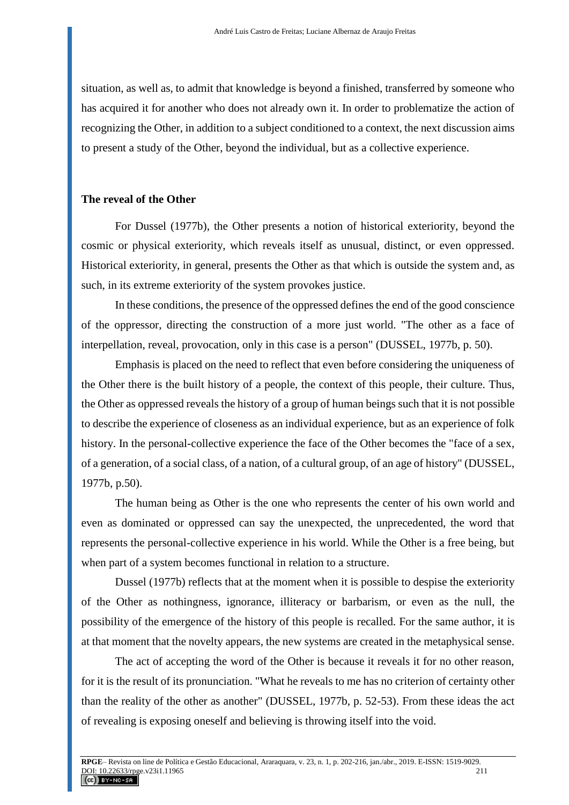situation, as well as, to admit that knowledge is beyond a finished, transferred by someone who has acquired it for another who does not already own it. In order to problematize the action of recognizing the Other, in addition to a subject conditioned to a context, the next discussion aims to present a study of the Other, beyond the individual, but as a collective experience.

#### **The reveal of the Other**

For Dussel (1977b), the Other presents a notion of historical exteriority, beyond the cosmic or physical exteriority, which reveals itself as unusual, distinct, or even oppressed. Historical exteriority, in general, presents the Other as that which is outside the system and, as such, in its extreme exteriority of the system provokes justice.

In these conditions, the presence of the oppressed defines the end of the good conscience of the oppressor, directing the construction of a more just world. "The other as a face of interpellation, reveal, provocation, only in this case is a person" (DUSSEL, 1977b, p. 50).

Emphasis is placed on the need to reflect that even before considering the uniqueness of the Other there is the built history of a people, the context of this people, their culture. Thus, the Other as oppressed reveals the history of a group of human beings such that it is not possible to describe the experience of closeness as an individual experience, but as an experience of folk history. In the personal-collective experience the face of the Other becomes the "face of a sex, of a generation, of a social class, of a nation, of a cultural group, of an age of history" (DUSSEL, 1977b, p.50).

The human being as Other is the one who represents the center of his own world and even as dominated or oppressed can say the unexpected, the unprecedented, the word that represents the personal-collective experience in his world. While the Other is a free being, but when part of a system becomes functional in relation to a structure.

Dussel (1977b) reflects that at the moment when it is possible to despise the exteriority of the Other as nothingness, ignorance, illiteracy or barbarism, or even as the null, the possibility of the emergence of the history of this people is recalled. For the same author, it is at that moment that the novelty appears, the new systems are created in the metaphysical sense.

The act of accepting the word of the Other is because it reveals it for no other reason, for it is the result of its pronunciation. "What he reveals to me has no criterion of certainty other than the reality of the other as another" (DUSSEL, 1977b, p. 52-53). From these ideas the act of revealing is exposing oneself and believing is throwing itself into the void.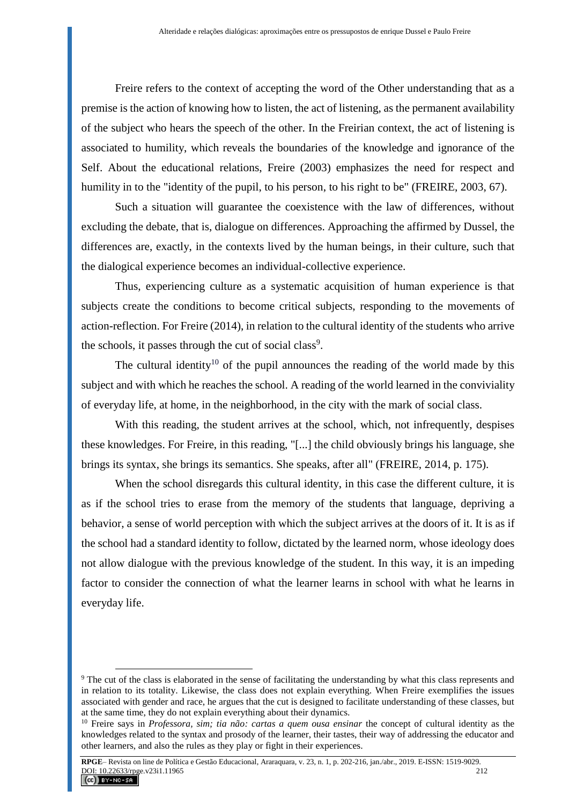Freire refers to the context of accepting the word of the Other understanding that as a premise is the action of knowing how to listen, the act of listening, as the permanent availability of the subject who hears the speech of the other. In the Freirian context, the act of listening is associated to humility, which reveals the boundaries of the knowledge and ignorance of the Self. About the educational relations, Freire (2003) emphasizes the need for respect and humility in to the "identity of the pupil, to his person, to his right to be" (FREIRE, 2003, 67).

Such a situation will guarantee the coexistence with the law of differences, without excluding the debate, that is, dialogue on differences. Approaching the affirmed by Dussel, the differences are, exactly, in the contexts lived by the human beings, in their culture, such that the dialogical experience becomes an individual-collective experience.

Thus, experiencing culture as a systematic acquisition of human experience is that subjects create the conditions to become critical subjects, responding to the movements of action-reflection. For Freire (2014), in relation to the cultural identity of the students who arrive the schools, it passes through the cut of social class<sup>9</sup>.

The cultural identity<sup>10</sup> of the pupil announces the reading of the world made by this subject and with which he reaches the school. A reading of the world learned in the conviviality of everyday life, at home, in the neighborhood, in the city with the mark of social class.

With this reading, the student arrives at the school, which, not infrequently, despises these knowledges. For Freire, in this reading, "[...] the child obviously brings his language, she brings its syntax, she brings its semantics. She speaks, after all" (FREIRE, 2014, p. 175).

When the school disregards this cultural identity, in this case the different culture, it is as if the school tries to erase from the memory of the students that language, depriving a behavior, a sense of world perception with which the subject arrives at the doors of it. It is as if the school had a standard identity to follow, dictated by the learned norm, whose ideology does not allow dialogue with the previous knowledge of the student. In this way, it is an impeding factor to consider the connection of what the learner learns in school with what he learns in everyday life.

<sup>9</sup> The cut of the class is elaborated in the sense of facilitating the understanding by what this class represents and in relation to its totality. Likewise, the class does not explain everything. When Freire exemplifies the issues associated with gender and race, he argues that the cut is designed to facilitate understanding of these classes, but at the same time, they do not explain everything about their dynamics.

<sup>&</sup>lt;sup>10</sup> Freire says in *Professora, sim; tia não: cartas a quem ousa ensinar* the concept of cultural identity as the knowledges related to the syntax and prosody of the learner, their tastes, their way of addressing the educator and other learners, and also the rules as they play or fight in their experiences.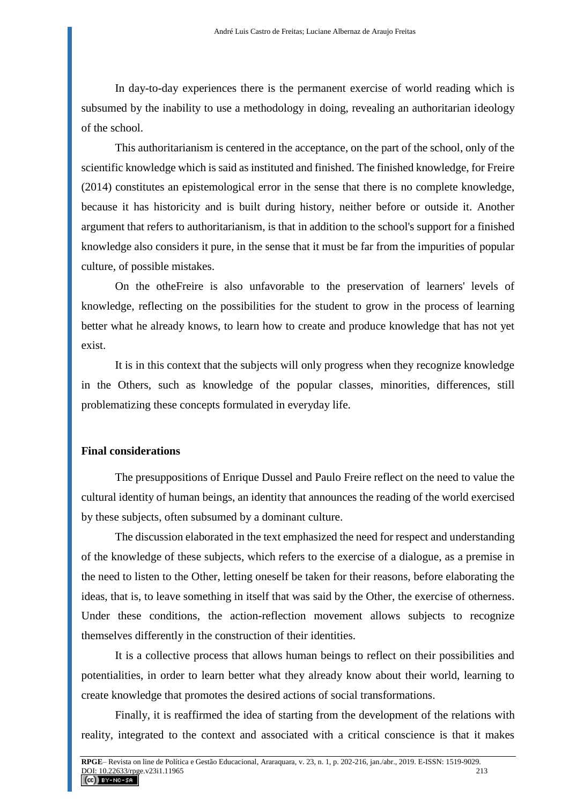In day-to-day experiences there is the permanent exercise of world reading which is subsumed by the inability to use a methodology in doing, revealing an authoritarian ideology of the school.

This authoritarianism is centered in the acceptance, on the part of the school, only of the scientific knowledge which is said as instituted and finished. The finished knowledge, for Freire (2014) constitutes an epistemological error in the sense that there is no complete knowledge, because it has historicity and is built during history, neither before or outside it. Another argument that refers to authoritarianism, is that in addition to the school's support for a finished knowledge also considers it pure, in the sense that it must be far from the impurities of popular culture, of possible mistakes.

On the otheFreire is also unfavorable to the preservation of learners' levels of knowledge, reflecting on the possibilities for the student to grow in the process of learning better what he already knows, to learn how to create and produce knowledge that has not yet exist.

It is in this context that the subjects will only progress when they recognize knowledge in the Others, such as knowledge of the popular classes, minorities, differences, still problematizing these concepts formulated in everyday life.

### **Final considerations**

The presuppositions of Enrique Dussel and Paulo Freire reflect on the need to value the cultural identity of human beings, an identity that announces the reading of the world exercised by these subjects, often subsumed by a dominant culture.

The discussion elaborated in the text emphasized the need for respect and understanding of the knowledge of these subjects, which refers to the exercise of a dialogue, as a premise in the need to listen to the Other, letting oneself be taken for their reasons, before elaborating the ideas, that is, to leave something in itself that was said by the Other, the exercise of otherness. Under these conditions, the action-reflection movement allows subjects to recognize themselves differently in the construction of their identities.

It is a collective process that allows human beings to reflect on their possibilities and potentialities, in order to learn better what they already know about their world, learning to create knowledge that promotes the desired actions of social transformations.

Finally, it is reaffirmed the idea of starting from the development of the relations with reality, integrated to the context and associated with a critical conscience is that it makes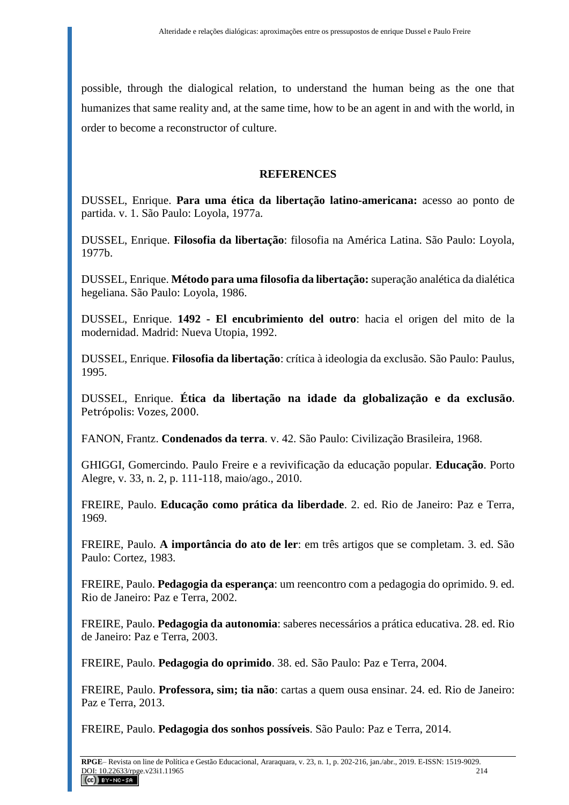possible, through the dialogical relation, to understand the human being as the one that humanizes that same reality and, at the same time, how to be an agent in and with the world, in order to become a reconstructor of culture.

### **REFERENCES**

DUSSEL, Enrique. **Para uma ética da libertação latino-americana:** acesso ao ponto de partida. v. 1. São Paulo: Loyola, 1977a.

DUSSEL, Enrique. **Filosofia da libertação**: filosofia na América Latina. São Paulo: Loyola, 1977b.

DUSSEL, Enrique. **Método para uma filosofia da libertação:** superação analética da dialética hegeliana. São Paulo: Loyola, 1986.

DUSSEL, Enrique. **1492 - El encubrimiento del outro**: hacia el origen del mito de la modernidad. Madrid: Nueva Utopia, 1992.

DUSSEL, Enrique. **Filosofia da libertação**: crítica à ideologia da exclusão. São Paulo: Paulus, 1995.

DUSSEL, Enrique. **Ética da libertação na idade da globalização e da exclusão**. Petrópolis: Vozes, 2000.

FANON, Frantz. **Condenados da terra**. v. 42. São Paulo: Civilização Brasileira, 1968.

GHIGGI, Gomercindo. Paulo Freire e a revivificação da educação popular. **Educação**. Porto Alegre, v. 33, n. 2, p. 111-118, maio/ago., 2010.

FREIRE, Paulo. **Educação como prática da liberdade**. 2. ed. Rio de Janeiro: Paz e Terra, 1969.

FREIRE, Paulo. **A importância do ato de ler**: em três artigos que se completam. 3. ed. São Paulo: Cortez, 1983.

FREIRE, Paulo. **Pedagogia da esperança**: um reencontro com a pedagogia do oprimido. 9. ed. Rio de Janeiro: Paz e Terra, 2002.

FREIRE, Paulo. **Pedagogia da autonomia**: saberes necessários a prática educativa. 28. ed. Rio de Janeiro: Paz e Terra, 2003.

FREIRE, Paulo. **Pedagogia do oprimido**. 38. ed. São Paulo: Paz e Terra, 2004.

FREIRE, Paulo. **Professora, sim; tia não**: cartas a quem ousa ensinar. 24. ed. Rio de Janeiro: Paz e Terra, 2013.

FREIRE, Paulo. **Pedagogia dos sonhos possíveis**. São Paulo: Paz e Terra, 2014.